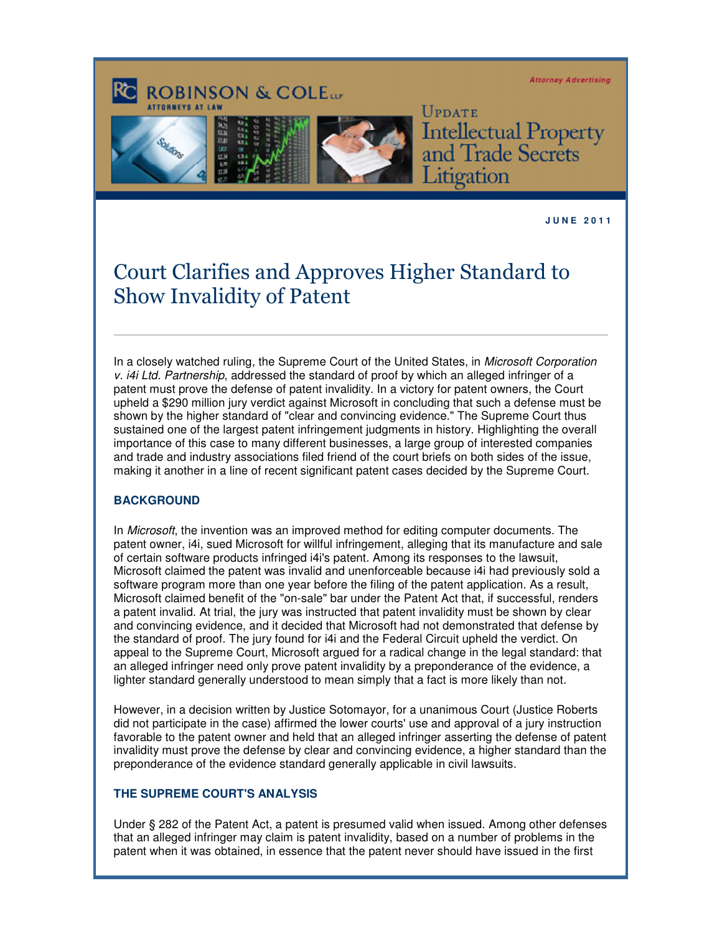**Attorney Advertising** 





UPDATE **Intellectual Property<br>and Trade Secrets** Litigation

**J U N E 2 0 1 1** 

## Court Clarifies and Approves Higher Standard to Show Invalidity of Patent

In a closely watched ruling, the Supreme Court of the United States, in Microsoft Corporation v. i4i Ltd. Partnership, addressed the standard of proof by which an alleged infringer of a patent must prove the defense of patent invalidity. In a victory for patent owners, the Court upheld a \$290 million jury verdict against Microsoft in concluding that such a defense must be shown by the higher standard of "clear and convincing evidence." The Supreme Court thus sustained one of the largest patent infringement judgments in history. Highlighting the overall importance of this case to many different businesses, a large group of interested companies and trade and industry associations filed friend of the court briefs on both sides of the issue, making it another in a line of recent significant patent cases decided by the Supreme Court.

## **BACKGROUND**

In *Microsoft*, the invention was an improved method for editing computer documents. The patent owner, i4i, sued Microsoft for willful infringement, alleging that its manufacture and sale of certain software products infringed i4i's patent. Among its responses to the lawsuit, Microsoft claimed the patent was invalid and unenforceable because i4i had previously sold a software program more than one year before the filing of the patent application. As a result, Microsoft claimed benefit of the "on-sale" bar under the Patent Act that, if successful, renders a patent invalid. At trial, the jury was instructed that patent invalidity must be shown by clear and convincing evidence, and it decided that Microsoft had not demonstrated that defense by the standard of proof. The jury found for i4i and the Federal Circuit upheld the verdict. On appeal to the Supreme Court, Microsoft argued for a radical change in the legal standard: that an alleged infringer need only prove patent invalidity by a preponderance of the evidence, a lighter standard generally understood to mean simply that a fact is more likely than not.

However, in a decision written by Justice Sotomayor, for a unanimous Court (Justice Roberts did not participate in the case) affirmed the lower courts' use and approval of a jury instruction favorable to the patent owner and held that an alleged infringer asserting the defense of patent invalidity must prove the defense by clear and convincing evidence, a higher standard than the preponderance of the evidence standard generally applicable in civil lawsuits.

## **THE SUPREME COURT'S ANALYSIS**

Under § 282 of the Patent Act, a patent is presumed valid when issued. Among other defenses that an alleged infringer may claim is patent invalidity, based on a number of problems in the patent when it was obtained, in essence that the patent never should have issued in the first